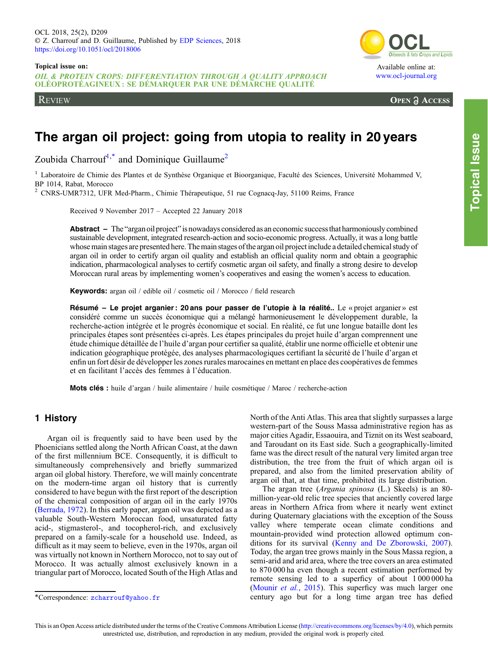#### Topical issue on:

OIL & PROTEIN CROPS: DIFFERENTIATION THROUGH A QUALITY APPROACH OLÉOPROTÉAGINEUX : SE DÉMARQUER PAR UNE DÉMARCHE QUALITÉ

REVIEW



**OPEN A ACCESS** 

# The argan oil project: going from utopia to reality in 20 years

Zoubida Charrouf<sup>1,\*</sup> and Dominique Guillaume<sup>2</sup>

<sup>1</sup> Laboratoire de Chimie des Plantes et de Synthèse Organique et Bioorganique, Faculté des Sciences, Université Mohammed V, BP 1014, Rabat, Morocco

<sup>2</sup> CNRS-UMR7312, UFR Med-Pharm., Chimie Thérapeutique, 51 rue Cognacq-Jay, 51100 Reims, France

Received 9 November 2017 – Accepted 22 January 2018

Abstract – The "argan oil project" is nowadays considered as an economic success that harmoniously combined sustainable development, integrated research-action and socio-economic progress. Actually, it was a long battle whose main stages are presented here. The main stages of the argan oil project include a detailed chemical study of argan oil in order to certify argan oil quality and establish an official quality norm and obtain a geographic indication, pharmacological analyses to certify cosmetic argan oil safety, and finally a strong desire to develop Moroccan rural areas by implementing women's cooperatives and easing the women's access to education.

Keywords: argan oil / edible oil / cosmetic oil / Morocco / field research

Résumé – Le projet arganier: 20 ans pour passer de l'utopie à la réalité.. Le « projet arganier » est considéré comme un succès économique qui a mélangé harmonieusement le développement durable, la recherche-action intégrée et le progrès économique et social. En réalité, ce fut une longue bataille dont les principales étapes sont présentées ci-après. Les étapes principales du projet huile d'argan comprennent une étude chimique détaillée de l'huile d'argan pour certifier sa qualité, établir une norme officielle et obtenir une indication géographique protégée, des analyses pharmacologiques certifiant la sécurité de l'huile d'argan et enfin un fort désir de développer les zones rurales marocaines en mettant en place des coopératives de femmes et en facilitant l'accès des femmes à l'éducation.

Mots clés : huile d'argan / huile alimentaire / huile cosmétique / Maroc / recherche-action

## 1 History

Argan oil is frequently said to have been used by the Phoenicians settled along the North African Coast, at the dawn of the first millennium BCE. Consequently, it is difficult to simultaneously comprehensively and briefly summarized argan oil global history. Therefore, we will mainly concentrate on the modern-time argan oil history that is currently considered to have begun with the first report of the description of the chemical composition of argan oil in the early 1970s ([Berrada, 1972\)](#page-3-0). In this early paper, argan oil was depicted as a valuable South-Western Moroccan food, unsaturated fatty acid-, stigmasterol-, and tocopherol-rich, and exclusively prepared on a family-scale for a household use. Indeed, as difficult as it may seem to believe, even in the 1970s, argan oil was virtually not known in Northern Morocco, not to say out of Morocco. It was actually almost exclusively known in a triangular part of Morocco, located South of the High Atlas and North of the Anti Atlas. This area that slightly surpasses a large western-part of the Souss Massa administrative region has as major cities Agadir, Essaouira, and Tiznit on its West seaboard, and Taroudant on its East side. Such a geographically-limited fame was the direct result of the natural very limited argan tree distribution, the tree from the fruit of which argan oil is prepared, and also from the limited preservation ability of argan oil that, at that time, prohibited its large distribution.

The argan tree (Argania spinosa (L.) Skeels) is an 80 million-year-old relic tree species that anciently covered large areas in Northern Africa from where it nearly went extinct during Quaternary glaciations with the exception of the Souss valley where temperate ocean climate conditions and mountain-provided wind protection allowed optimum conditions for its survival ([Kenny and De Zborowski, 2007\)](#page-4-0). Today, the argan tree grows mainly in the Sous Massa region, a semi-arid and arid area, where the tree covers an area estimated to 870 000 ha even though a recent estimation performed by remote sensing led to a superficy of about 1 000 000 ha ([Mounir](#page-4-0) et al., 2015). This superficy was much larger one century ago but for a long time argan tree has defied

<sup>\*</sup>Correspondence: [zcharrouf@yahoo.fr](mailto:zcharrouf@yahoo.fr)

This is an Open Access article distributed under the terms of the Creative Commons Attribution License [\(http://creativecommons.org/licenses/by/4.0](http://creativecommons.org/licenses/by/4.0)), which permits unrestricted use, distribution, and reproduction in any medium, provided the original work is properly cited.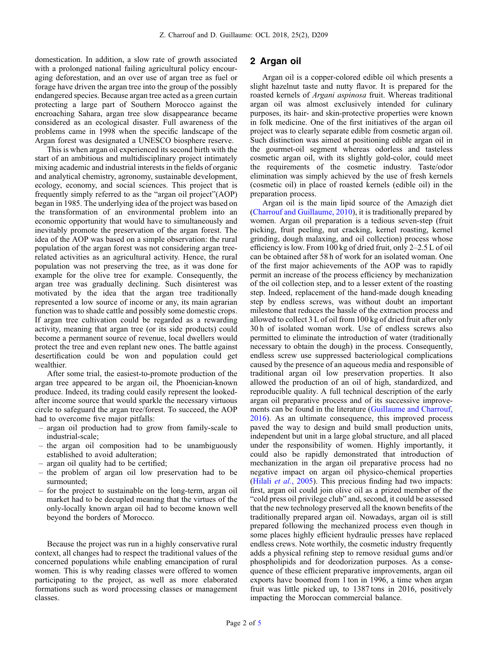domestication. In addition, a slow rate of growth associated with a prolonged national failing agricultural policy encouraging deforestation, and an over use of argan tree as fuel or forage have driven the argan tree into the group of the possibly endangered species. Because argan tree acted as a green curtain protecting a large part of Southern Morocco against the encroaching Sahara, argan tree slow disappearance became considered as an ecological disaster. Full awareness of the problems came in 1998 when the specific landscape of the Argan forest was designated a UNESCO biosphere reserve.

This is when argan oil experienced its second birth with the start of an ambitious and multidisciplinary project intimately mixing academic and industrial interests in the fields of organic and analytical chemistry, agronomy, sustainable development, ecology, economy, and social sciences. This project that is frequently simply referred to as the "argan oil project"(AOP) began in 1985. The underlying idea of the project was based on the transformation of an environmental problem into an economic opportunity that would have to simultaneously and inevitably promote the preservation of the argan forest. The idea of the AOP was based on a simple observation: the rural population of the argan forest was not considering argan treerelated activities as an agricultural activity. Hence, the rural population was not preserving the tree, as it was done for example for the olive tree for example. Consequently, the argan tree was gradually declining. Such disinterest was motivated by the idea that the argan tree traditionally represented a low source of income or any, its main agrarian function was to shade cattle and possibly some domestic crops. If argan tree cultivation could be regarded as a rewarding activity, meaning that argan tree (or its side products) could become a permanent source of revenue, local dwellers would protect the tree and even replant new ones. The battle against desertification could be won and population could get wealthier.

After some trial, the easiest-to-promote production of the argan tree appeared to be argan oil, the Phoenician-known produce. Indeed, its trading could easily represent the lookedafter income source that would sparkle the necessary virtuous circle to safeguard the argan tree/forest. To succeed, the AOP had to overcome five major pitfalls:

- argan oil production had to grow from family-scale to industrial-scale;
- the argan oil composition had to be unambiguously established to avoid adulteration;
- argan oil quality had to be certified;
- the problem of argan oil low preservation had to be surmounted;
- for the project to sustainable on the long-term, argan oil market had to be decupled meaning that the virtues of the only-locally known argan oil had to become known well beyond the borders of Morocco.

Because the project was run in a highly conservative rural context, all changes had to respect the traditional values of the concerned populations while enabling emancipation of rural women. This is why reading classes were offered to women participating to the project, as well as more elaborated formations such as word processing classes or management classes.

### 2 Argan oil

Argan oil is a copper-colored edible oil which presents a slight hazelnut taste and nutty flavor. It is prepared for the roasted kernels of Argani aspinosa fruit. Whereas traditional argan oil was almost exclusively intended for culinary purposes, its hair- and skin-protective properties were known in folk medicine. One of the first initiatives of the argan oil project was to clearly separate edible from cosmetic argan oil. Such distinction was aimed at positioning edible argan oil in the gourmet-oil segment whereas odorless and tasteless cosmetic argan oil, with its slightly gold-color, could meet the requirements of the cosmetic industry. Taste/odor elimination was simply achieved by the use of fresh kernels (cosmetic oil) in place of roasted kernels (edible oil) in the preparation process.

Argan oil is the main lipid source of the Amazigh diet ([Charrouf and Guillaume, 2010](#page-4-0)), it is traditionally prepared by women. Argan oil preparation is a tedious seven-step (fruit picking, fruit peeling, nut cracking, kernel roasting, kernel grinding, dough malaxing, and oil collection) process whose efficiency is low. From 100 kg of dried fruit, only 2–2.5 L of oil can be obtained after 58 h of work for an isolated woman. One of the first major achievements of the AOP was to rapidly permit an increase of the process efficiency by mechanization of the oil collection step, and to a lesser extent of the roasting step. Indeed, replacement of the hand-made dough kneading step by endless screws, was without doubt an important milestone that reduces the hassle of the extraction process and allowed to collect 3 L of oil from 100 kg of dried fruit after only 30 h of isolated woman work. Use of endless screws also permitted to eliminate the introduction of water (traditionally necessary to obtain the dough) in the process. Consequently, endless screw use suppressed bacteriological complications caused by the presence of an aqueous media and responsible of traditional argan oil low preservation properties. It also allowed the production of an oil of high, standardized, and reproducible quality. A full technical description of the early argan oil preparative process and of its successive improvements can be found in the literature ([Guillaume and Charrouf,](#page-4-0) [2016](#page-4-0)). As an ultimate consequence, this improved process paved the way to design and build small production units, independent but unit in a large global structure, and all placed under the responsibility of women. Highly importantly, it could also be rapidly demonstrated that introduction of mechanization in the argan oil preparative process had no negative impact on argan oil physico-chemical properties (Hilali *et al.*[, 2005](#page-4-0)). This precious finding had two impacts: first, argan oil could join olive oil as a prized member of the "cold press oil privilege club" and, second, it could be assessed that the new technology preserved all the known benefits of the traditionally prepared argan oil. Nowadays, argan oil is still prepared following the mechanized process even though in some places highly efficient hydraulic presses have replaced endless crews. Note worthily, the cosmetic industry frequently adds a physical refining step to remove residual gums and/or phospholipids and for deodorization purposes. As a consequence of these efficient preparative improvements, argan oil exports have boomed from 1 ton in 1996, a time when argan fruit was little picked up, to 1387 tons in 2016, positively impacting the Moroccan commercial balance.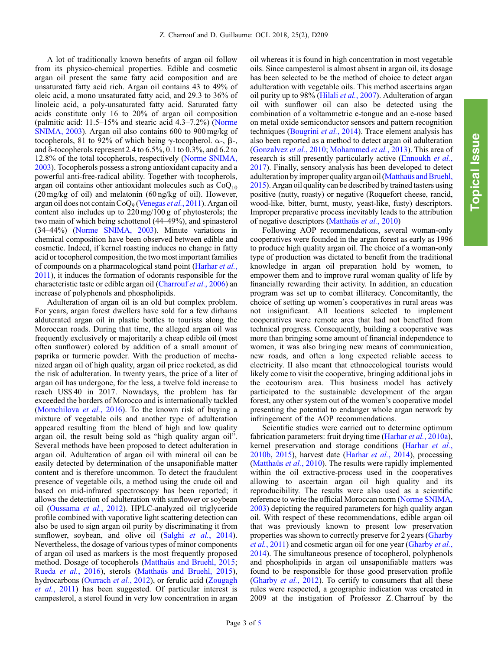A lot of traditionally known benefits of argan oil follow from its physico-chemical properties. Edible and cosmetic argan oil present the same fatty acid composition and are unsaturated fatty acid rich. Argan oil contains 43 to 49% of oleic acid, a mono unsaturated fatty acid, and 29.3 to 36% of linoleic acid, a poly-unsaturated fatty acid. Saturated fatty acids constitute only 16 to 20% of argan oil composition (palmitic acid: 11.5–15% and stearic acid 4.3–7.2%) [\(Norme](#page-4-0) [SNIMA, 2003](#page-4-0)). Argan oil also contains 600 to 900 mg/kg of tocopherols, 81 to 92% of which being  $\gamma$ -tocopherol.  $\alpha$ -,  $\beta$ -, and  $\delta$ -tocopherols represent 2.4 to 6.5%, 0.1 to 0.3%, and 6.2 to 12.8% of the total tocopherols, respectively ([Norme SNIMA,](#page-4-0) [2003](#page-4-0)). Tocopherols possess a strong antioxidant capacity and a powerful anti-free-radical ability. Together with tocopherols, argan oil contains other antioxidant molecules such as  $CoO<sub>10</sub>$ (20 mg/kg of oil) and melatonin (60 ng/kg of oil). However, argan oil does not contain CoQ9 [\(Venegas](#page-4-0) et al., 2011). Argan oil content also includes up to 220 mg/100 g of phytosterols; the two main of which being schottenol (44–49%), and spinasterol (34–44%) [\(Norme SNIMA, 2003\)](#page-4-0). Minute variations in chemical composition have been observed between edible and cosmetic. Indeed, if kernel roasting induces no change in fatty acid or tocopherol composition, the two most important families of compounds on a pharmacological stand point [\(Harhar](#page-4-0) et al., [2011\)](#page-4-0), it induces the formation of odorants responsible for the characteristic taste or edible argan oil ([Charrouf](#page-3-0) et al., 2006) an increase of polyphenols and phospholipids.

Adulteration of argan oil is an old but complex problem. For years, argan forest dwellers have sold for a few dirhams alduterated argan oil in plastic bottles to tourists along the Moroccan roads. During that time, the alleged argan oil was frequently exclusively or majoritarily a cheap edible oil (most often sunflower) colored by addition of a small amount of paprika or turmeric powder. With the production of mechanized argan oil of high quality, argan oil price rocketed, as did the risk of adulteration. In twenty years, the price of a liter of argan oil has undergone, for the less, a twelve fold increase to reach US\$ 40 in 2017. Nowadays, the problem has far exceeded the borders of Morocco and is internationally tackled ([Momchilova](#page-4-0) et al., 2016). To the known risk of buying a mixture of vegetable oils and another type of adulteration appeared resulting from the blend of high and low quality argan oil, the result being sold as "high quality argan oil". Several methods have been proposed to detect adulteration in argan oil. Adulteration of argan oil with mineral oil can be easily detected by determination of the unsaponifiable matter content and is therefore uncommon. To detect the fraudulent presence of vegetable oils, a method using the crude oil and based on mid-infrared spectroscopy has been reported; it allows the detection of adulteration with sunflower or soybean oil ([Oussama](#page-4-0) et al., 2012). HPLC-analyzed oil triglyceride profile combined with vaporative light scattering detection can also be used to sign argan oil purity by discriminating it from sunflower, soybean, and olive oil (Salghi et al.[, 2014](#page-4-0)). Nevertheless, the dosage of various types of minor components of argan oil used as markers is the most frequently proposed method. Dosage of tocopherols [\(Matthaüs and Bruehl, 2015](#page-4-0); Rueda et al.[, 2016\)](#page-4-0), sterols [\(Matthaüs and Bruehl, 2015](#page-4-0)), hydrocarbons ([Ourrach](#page-4-0) et al., 2012), or ferulic acid [\(Zougagh](#page-4-0) et al.[, 2011](#page-4-0)) has been suggested. Of particular interest is campesterol, a sterol found in very low concentration in argan oil whereas it is found in high concentration in most vegetable oils. Since campesterol is almost absent in argan oil, its dosage has been selected to be the method of choice to detect argan adulteration with vegetable oils. This method ascertains argan oil purity up to 98% (Hilali et al.[, 2007\)](#page-4-0). Adulteration of argan oil with sunflower oil can also be detected using the combination of a voltammetric e-tongue and an e-nose based on metal oxide semiconductor sensors and pattern recognition techniques ([Bougrini](#page-3-0) et al., 2014). Trace element analysis has also been reported as a method to detect argan oil adulteration ([Gonzalvez](#page-4-0) et al., 2010; [Mohammed](#page-4-0) et al., 2013). This area of research is still presently particularly active [\(Ennoukh](#page-4-0) et al., [2017](#page-4-0)). Finally, sensory analysis has been developed to detect adulteration byimproper quality argan oil ([Matthaüs and Bruehl,](#page-4-0) [2015](#page-4-0)). Argan oil quality can be described by trained tasters using positive (nutty, roasty) or negative (Roquefort cheese, rancid, wood-like, bitter, burnt, musty, yeast-like, fusty) descriptors. Improper preparative process inevitably leads to the attribution of negative descriptors ([Matthaüs](#page-4-0) et al., 2010)

Following AOP recommendations, several woman-only cooperatives were founded in the argan forest as early as 1996 to produce high quality argan oil. The choice of a woman-only type of production was dictated to benefit from the traditional knowledge in argan oil preparation hold by women, to empower them and to improve rural woman quality of life by financially rewarding their activity. In addition, an education program was set up to combat illiteracy. Concomitantly, the choice of setting up women's cooperatives in rural areas was not insignificant. All locations selected to implement cooperatives were remote area that had not benefited from technical progress. Consequently, building a cooperative was more than bringing some amount of financial independence to women, it was also bringing new means of communication, new roads, and often a long expected reliable access to electricity. Il also meant that ethnoecological tourists would likely come to visit the cooperative, bringing additional jobs in the ecotourism area. This business model has actively participated to the sustainable development of the argan forest, any other system out of the women's cooperative model presenting the potential to endanger whole argan network by infringement of the AOP recommendations.

Scientific studies were carried out to determine optimum fabrication parameters: fruit drying time (Harhar et al.[, 2010a\)](#page-4-0), kernel preservation and storage conditions ([Harhar](#page-4-0) et al.,  $2010<sub>b</sub>$ , [2015](#page-4-0)), harvest date [\(Harhar](#page-4-0) *et al.*, 2014), processing ([Matthaüs](#page-4-0) *et al.*, 2010). The results were rapidly implemented within the oil extractive-process used in the cooperatives allowing to ascertain argan oil high quality and its reproducibility. The results were also used as a scientific reference to write the official Moroccan norm ([Norme SNIMA,](#page-4-0) [2003](#page-4-0)) depicting the required parameters for high quality argan oil. With respect of these recommendations, edible argan oil that was previously known to present low preservation properties was shown to correctly preserve for 2 years ([Gharby](#page-4-0) et al.[, 2011](#page-4-0)) and cosmetic argan oil for one year ([Gharby](#page-4-0) et al., [2014](#page-4-0)). The simultaneous presence of tocopherol, polyphenols and phospholipids in argan oil unsaponifiable matters was found to be responsible for those good preservation profile ([Gharby](#page-4-0) et al., 2012). To certify to consumers that all these rules were respected, a geographic indication was created in 2009 at the instigation of Professor Z. Charrouf by the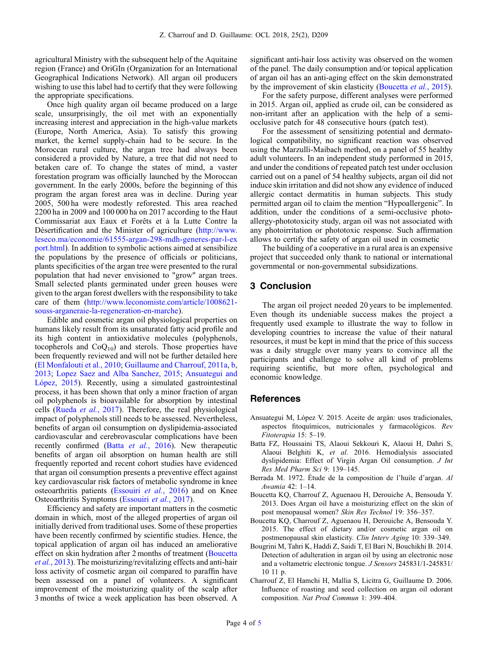<span id="page-3-0"></span>agricultural Ministry with the subsequent help of the Aquitaine region (France) and OriGIn (Organization for an International Geographical Indications Network). All argan oil producers wishing to use this label had to certify that they were following the appropriate specifications.

Once high quality argan oil became produced on a large scale, unsurprisingly, the oil met with an exponentially increasing interest and appreciation in the high-value markets (Europe, North America, Asia). To satisfy this growing market, the kernel supply-chain had to be secure. In the Moroccan rural culture, the argan tree had always been considered a provided by Nature, a tree that did not need to betaken care of. To change the states of mind, a vaster forestation program was officially launched by the Moroccan government. In the early 2000s, before the beginning of this program the argan forest area was in decline. During year 2005, 500 ha were modestly reforested. This area reached 2200 ha in 2009 and 100 000 ha on 2017 according to the Haut Commissariat aux Eaux et Forêts et à la Lutte Contre la Désertification and the Minister of agriculture ([http://www.](http://www.leseco.ma/economie/61555-argan-298-mdh-generes-par-l-export.html) [leseco.ma/economie/61555-argan-298-mdh-generes-par-l-ex](http://www.leseco.ma/economie/61555-argan-298-mdh-generes-par-l-export.html) [port.html](http://www.leseco.ma/economie/61555-argan-298-mdh-generes-par-l-export.html)). In addition to symbolic actions aimed at sensibilize the populations by the presence of officials or politicians, plants specificities of the argan tree were presented to the rural population that had never envisioned to "grow" argan trees. Small selected plants germinated under green houses were given to the argan forest dwellers with the responsibility to take care of them [\(http://www.leconomiste.com/article/1008621](http://www.leconomiste.com/article/1008621-souss-arganeraie-la-regeneration-en-marche) [souss-arganeraie-la-regeneration-en-marche\)](http://www.leconomiste.com/article/1008621-souss-arganeraie-la-regeneration-en-marche).

Edible and cosmetic argan oil physiological properties on humans likely result from its unsaturated fatty acid profile and its high content in antioxidative molecules (polyphenols, tocopherols and  $CoQ_{10}$ ) and sterols. Those properties have been frequently reviewed and will not be further detailed here ([El Monfalouti et al., 2010](#page-4-0); [Guillaume and Charrouf, 2011a,](#page-4-0) [b](#page-4-0), [2013](#page-4-0); [Lopez Saez and Alba Sanchez, 2015](#page-4-0); Ansuategui and López, 2015). Recently, using a simulated gastrointestinal process, it has been shown that only a minor fraction of argan oil polyphenols is bioavailable for absorption by intestinal cells (Rueda et al.[, 2017](#page-4-0)). Therefore, the real physiological impact of polyphenols still needs to be assessed. Nevertheless, benefits of argan oil consumption on dyslipidemia-associated cardiovascular and cerebrovascular complications have been recently confirmed (Batta et al., 2016). New therapeutic benefits of argan oil absorption on human health are still frequently reported and recent cohort studies have evidenced that argan oil consumption presents a preventive effect against key cardiovascular risk factors of metabolic syndrome in knee osteoarthritis patients ([Essouiri](#page-4-0) et al., 2016) and on Knee Osteoarthritis Symptoms [\(Essouiri](#page-4-0) et al., 2017).

Efficiency and safety are important matters in the cosmetic domain in which, most of the alleged properties of argan oil initially derived from traditional uses. Some of these properties have been recently confirmed by scientific studies. Hence, the topical application of argan oil has induced an ameliorative effect on skin hydration after 2 months of treatment (Boucetta et al., 2013). The moisturizing/revitalizing effects and anti-hair loss activity of cosmetic argan oil compared to paraffin have been assessed on a panel of volunteers. A significant improvement of the moisturizing quality of the scalp after 3 months of twice a week application has been observed. A

significant anti-hair loss activity was observed on the women of the panel. The daily consumption and/or topical application of argan oil has an anti-aging effect on the skin demonstrated by the improvement of skin elasticity (Boucetta et al., 2015).

For the safety purpose, different analyses were performed in 2015. Argan oil, applied as crude oil, can be considered as non-irritant after an application with the help of a semiocclusive patch for 48 consecutive hours (patch test).

For the assessment of sensitizing potential and dermatological compatibility, no significant reaction was observed using the Marzulli-Maibach method, on a panel of 55 healthy adult volunteers. In an independent study performed in 2015, and under the conditions of repeated patch test under occlusion carried out on a panel of 54 healthy subjects, argan oil did not induce skin irritation and did not show any evidence of induced allergic contact dermatitis in human subjects. This study permitted argan oil to claim the mention "Hypoallergenic". In addition, under the conditions of a semi-occlusive photoallergy-phototoxicity study, argan oil was not associated with any photoirritation or phototoxic response. Such affirmation allows to certify the safety of argan oil used in cosmetic

The building of a cooperative in a rural area is an expensive project that succeeded only thank to national or international governmental or non-governmental subsidizations.

### 3 Conclusion

The argan oil project needed 20 years to be implemented. Even though its undeniable success makes the project a frequently used example to illustrate the way to follow in developing countries to increase the value of their natural resources, it must be kept in mind that the price of this success was a daily struggle over many years to convince all the participants and challenge to solve all kind of problems requiring scientific, but more often, psychological and economic knowledge.

#### References

- Ansuategui M, López V. 2015. Aceite de argán: usos tradicionales, aspectos fitoquímicos, nutricionales y farmacológicos. Rev Fitoterapia 15: 5–19.
- Batta FZ, Houssaini TS, Alaoui Sekkouri K, Alaoui H, Dahri S, Alaoui Belghiti K, et al. 2016. Hemodialysis associated dyslipidemia: Effect of Virgin Argan Oil consumption. J Int Res Med Pharm Sci 9: 139–145.
- Berrada M. 1972. Étude de la composition de l'huile d'argan. Al Awamia 42: 1–14.
- Boucetta KQ, Charrouf Z, Aguenaou H, Derouiche A, Bensouda Y. 2013. Does Argan oil have a moisturizing effect on the skin of post menopausal women? Skin Res Technol 19: 356–357.
- Boucetta KQ, Charrouf Z, Aguenaou H, Derouiche A, Bensouda Y. 2015. The effect of dietary and/or cosmetic argan oil on postmenopausal skin elasticity. Clin Interv Aging 10: 339–349.
- Bougrini M, Tahri K, Haddi Z, Saidi T, El Bari N, Bouchikhi B. 2014. Detection of adulteration in argan oil by using an electronic nose and a voltametric electronic tongue. J Sensors 245831/1-245831/ 10 11 p.
- Charrouf Z, El Hamchi H, Mallia S, Licitra G, Guillaume D. 2006. Influence of roasting and seed collection on argan oil odorant composition. Nat Prod Commun 1: 399–404.